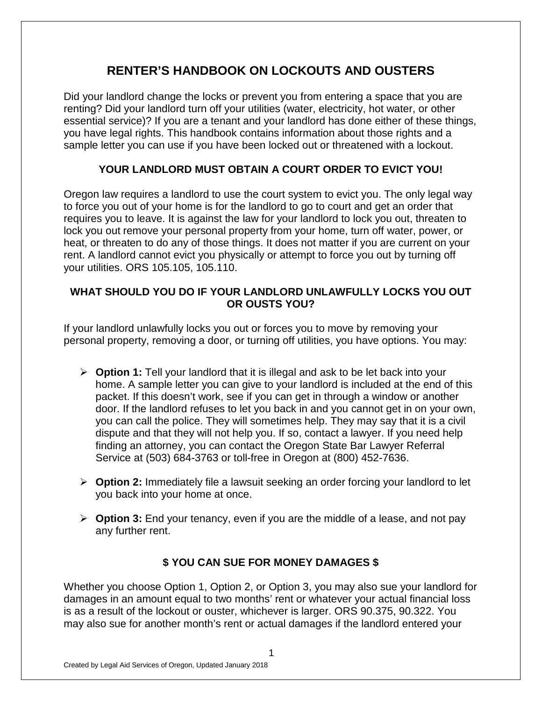# **RENTER'S HANDBOOK ON LOCKOUTS AND OUSTERS**

Did your landlord change the locks or prevent you from entering a space that you are renting? Did your landlord turn off your utilities (water, electricity, hot water, or other essential service)? If you are a tenant and your landlord has done either of these things, you have legal rights. This handbook contains information about those rights and a sample letter you can use if you have been locked out or threatened with a lockout.

## **YOUR LANDLORD MUST OBTAIN A COURT ORDER TO EVICT YOU!**

Oregon law requires a landlord to use the court system to evict you. The only legal way to force you out of your home is for the landlord to go to court and get an order that requires you to leave. It is against the law for your landlord to lock you out, threaten to lock you out remove your personal property from your home, turn off water, power, or heat, or threaten to do any of those things. It does not matter if you are current on your rent. A landlord cannot evict you physically or attempt to force you out by turning off your utilities. ORS 105.105, 105.110.

#### **WHAT SHOULD YOU DO IF YOUR LANDLORD UNLAWFULLY LOCKS YOU OUT OR OUSTS YOU?**

If your landlord unlawfully locks you out or forces you to move by removing your personal property, removing a door, or turning off utilities, you have options. You may:

- **Option 1:** Tell your landlord that it is illegal and ask to be let back into your home. A sample letter you can give to your landlord is included at the end of this packet. If this doesn't work, see if you can get in through a window or another door. If the landlord refuses to let you back in and you cannot get in on your own, you can call the police. They will sometimes help. They may say that it is a civil dispute and that they will not help you. If so, contact a lawyer. If you need help finding an attorney, you can contact the Oregon State Bar Lawyer Referral Service at (503) 684-3763 or toll-free in Oregon at (800) 452-7636.
- **Option 2:** Immediately file a lawsuit seeking an order forcing your landlord to let you back into your home at once.
- **Option 3:** End your tenancy, even if you are the middle of a lease, and not pay any further rent.

### **\$ YOU CAN SUE FOR MONEY DAMAGES \$**

Whether you choose Option 1, Option 2, or Option 3, you may also sue your landlord for damages in an amount equal to two months' rent or whatever your actual financial loss is as a result of the lockout or ouster, whichever is larger. ORS 90.375, 90.322. You may also sue for another month's rent or actual damages if the landlord entered your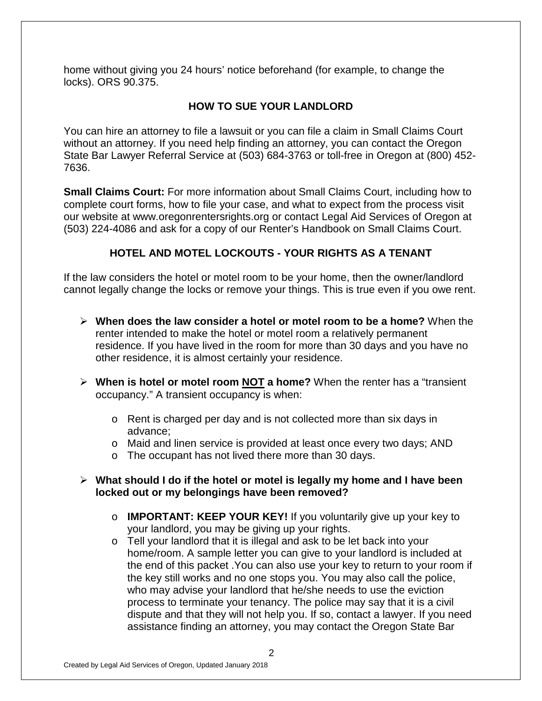home without giving you 24 hours' notice beforehand (for example, to change the locks). ORS 90.375.

## **HOW TO SUE YOUR LANDLORD**

You can hire an attorney to file a lawsuit or you can file a claim in Small Claims Court without an attorney. If you need help finding an attorney, you can contact the Oregon State Bar Lawyer Referral Service at (503) 684-3763 or toll-free in Oregon at (800) 452- 7636.

**Small Claims Court:** For more information about Small Claims Court, including how to complete court forms, how to file your case, and what to expect from the process visit our website at www.oregonrentersrights.org or contact Legal Aid Services of Oregon at (503) 224-4086 and ask for a copy of our Renter's Handbook on Small Claims Court.

### **HOTEL AND MOTEL LOCKOUTS - YOUR RIGHTS AS A TENANT**

If the law considers the hotel or motel room to be your home, then the owner/landlord cannot legally change the locks or remove your things. This is true even if you owe rent.

- **When does the law consider a hotel or motel room to be a home?** When the renter intended to make the hotel or motel room a relatively permanent residence. If you have lived in the room for more than 30 days and you have no other residence, it is almost certainly your residence.
- **When is hotel or motel room NOT a home?** When the renter has a "transient occupancy." A transient occupancy is when:
	- o Rent is charged per day and is not collected more than six days in advance;
	- o Maid and linen service is provided at least once every two days; AND
	- o The occupant has not lived there more than 30 days.
- **What should I do if the hotel or motel is legally my home and I have been locked out or my belongings have been removed?** 
	- o **IMPORTANT: KEEP YOUR KEY!** If you voluntarily give up your key to your landlord, you may be giving up your rights.
	- o Tell your landlord that it is illegal and ask to be let back into your home/room. A sample letter you can give to your landlord is included at the end of this packet .You can also use your key to return to your room if the key still works and no one stops you. You may also call the police, who may advise your landlord that he/she needs to use the eviction process to terminate your tenancy. The police may say that it is a civil dispute and that they will not help you. If so, contact a lawyer. If you need assistance finding an attorney, you may contact the Oregon State Bar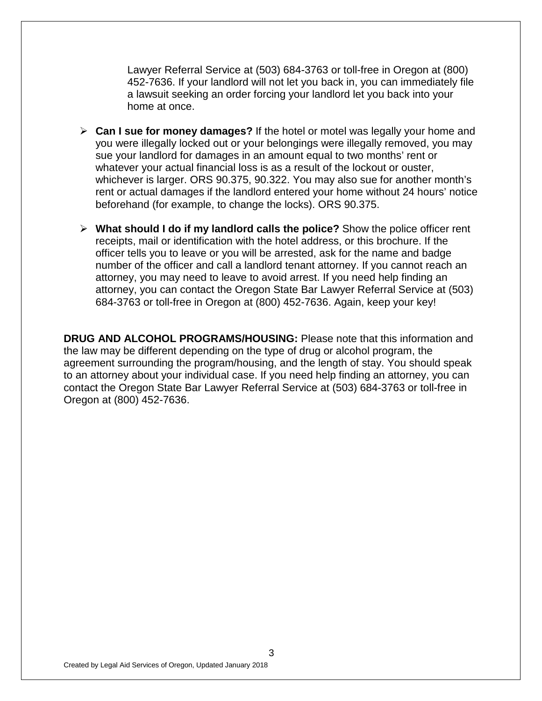Lawyer Referral Service at (503) 684-3763 or toll-free in Oregon at (800) 452-7636. If your landlord will not let you back in, you can immediately file a lawsuit seeking an order forcing your landlord let you back into your home at once.

- **Can I sue for money damages?** If the hotel or motel was legally your home and you were illegally locked out or your belongings were illegally removed, you may sue your landlord for damages in an amount equal to two months' rent or whatever your actual financial loss is as a result of the lockout or ouster, whichever is larger. ORS 90.375, 90.322. You may also sue for another month's rent or actual damages if the landlord entered your home without 24 hours' notice beforehand (for example, to change the locks). ORS 90.375.
- **What should I do if my landlord calls the police?** Show the police officer rent receipts, mail or identification with the hotel address, or this brochure. If the officer tells you to leave or you will be arrested, ask for the name and badge number of the officer and call a landlord tenant attorney. If you cannot reach an attorney, you may need to leave to avoid arrest. If you need help finding an attorney, you can contact the Oregon State Bar Lawyer Referral Service at (503) 684-3763 or toll-free in Oregon at (800) 452-7636. Again, keep your key!

**DRUG AND ALCOHOL PROGRAMS/HOUSING:** Please note that this information and the law may be different depending on the type of drug or alcohol program, the agreement surrounding the program/housing, and the length of stay. You should speak to an attorney about your individual case. If you need help finding an attorney, you can contact the Oregon State Bar Lawyer Referral Service at (503) 684-3763 or toll-free in Oregon at (800) 452-7636.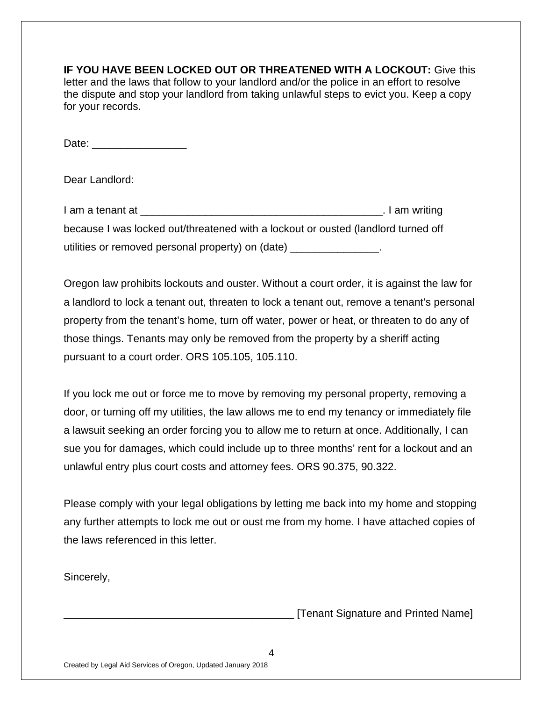**IF YOU HAVE BEEN LOCKED OUT OR THREATENED WITH A LOCKOUT:** Give this letter and the laws that follow to your landlord and/or the police in an effort to resolve the dispute and stop your landlord from taking unlawful steps to evict you. Keep a copy for your records.

Date:

Dear Landlord:

| I am a tenant at                                                                  | . I am writing |
|-----------------------------------------------------------------------------------|----------------|
| because I was locked out/threatened with a lockout or ousted (landlord turned off |                |
| utilities or removed personal property) on (date)                                 |                |

Oregon law prohibits lockouts and ouster. Without a court order, it is against the law for a landlord to lock a tenant out, threaten to lock a tenant out, remove a tenant's personal property from the tenant's home, turn off water, power or heat, or threaten to do any of those things. Tenants may only be removed from the property by a sheriff acting pursuant to a court order. ORS 105.105, 105.110.

If you lock me out or force me to move by removing my personal property, removing a door, or turning off my utilities, the law allows me to end my tenancy or immediately file a lawsuit seeking an order forcing you to allow me to return at once. Additionally, I can sue you for damages, which could include up to three months' rent for a lockout and an unlawful entry plus court costs and attorney fees. ORS 90.375, 90.322.

Please comply with your legal obligations by letting me back into my home and stopping any further attempts to lock me out or oust me from my home. I have attached copies of the laws referenced in this letter.

Sincerely,

\_\_\_\_\_\_\_\_\_\_\_\_\_\_\_\_\_\_\_\_\_\_\_\_\_\_\_\_\_\_\_\_\_\_\_\_\_\_\_ [Tenant Signature and Printed Name]